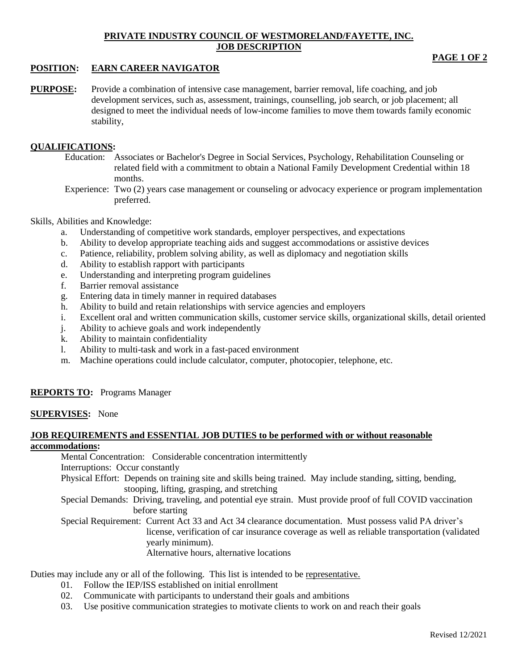# **PRIVATE INDUSTRY COUNCIL OF WESTMORELAND/FAYETTE, INC. JOB DESCRIPTION**

# **POSITION: EARN CAREER NAVIGATOR**

**PURPOSE:** Provide a combination of intensive case management, barrier removal, life coaching, and job development services, such as, assessment, trainings, counselling, job search, or job placement; all designed to meet the individual needs of low-income families to move them towards family economic stability,

# **QUALIFICATIONS:**

- Education: Associates or Bachelor's Degree in Social Services, Psychology, Rehabilitation Counseling or related field with a commitment to obtain a National Family Development Credential within 18 months.
- Experience: Two (2) years case management or counseling or advocacy experience or program implementation preferred.

#### Skills, Abilities and Knowledge:

- a. Understanding of competitive work standards, employer perspectives, and expectations
- b. Ability to develop appropriate teaching aids and suggest accommodations or assistive devices
- c. Patience, reliability, problem solving ability, as well as diplomacy and negotiation skills
- d. Ability to establish rapport with participants
- e. Understanding and interpreting program guidelines
- f. Barrier removal assistance
- g. Entering data in timely manner in required databases
- h. Ability to build and retain relationships with service agencies and employers
- i. Excellent oral and written communication skills, customer service skills, organizational skills, detail oriented
- j. Ability to achieve goals and work independently
- k. Ability to maintain confidentiality
- l. Ability to multi-task and work in a fast-paced environment
- m. Machine operations could include calculator, computer, photocopier, telephone, etc.

# **REPORTS TO:** Programs Manager

#### **SUPERVISES:** None

# **JOB REQUIREMENTS and ESSENTIAL JOB DUTIES to be performed with or without reasonable**

# **accommodations:**

Mental Concentration: Considerable concentration intermittently Interruptions: Occur constantly

Physical Effort: Depends on training site and skills being trained. May include standing, sitting, bending, stooping, lifting, grasping, and stretching

Special Demands: Driving, traveling, and potential eye strain. Must provide proof of full COVID vaccination before starting

Special Requirement: Current Act 33 and Act 34 clearance documentation. Must possess valid PA driver's license, verification of car insurance coverage as well as reliable transportation (validated yearly minimum). Alternative hours, alternative locations

Duties may include any or all of the following. This list is intended to be representative.

- 01. Follow the IEP/ISS established on initial enrollment
- 02. Communicate with participants to understand their goals and ambitions
- 03. Use positive communication strategies to motivate clients to work on and reach their goals